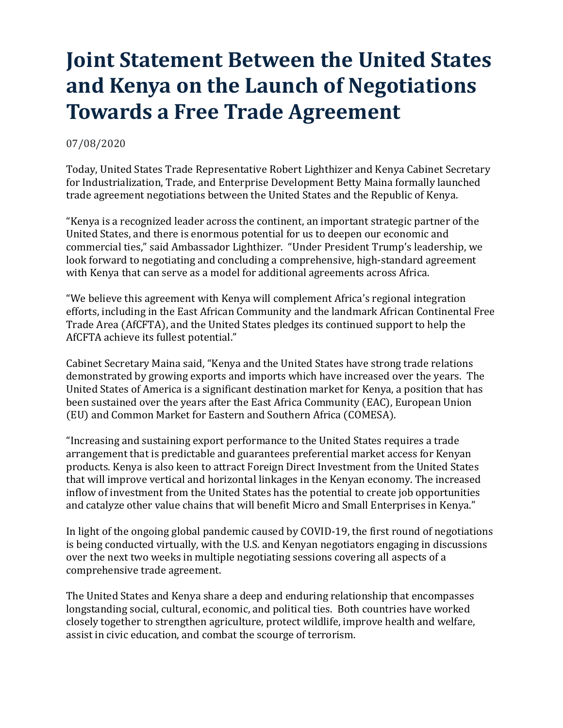## **Joint Statement Between the United States and Kenya on the Launch of Negotiations Towards a Free Trade Agreement**

## 07/08/2020

Today, United States Trade Representative Robert Lighthizer and Kenya Cabinet Secretary for Industrialization, Trade, and Enterprise Development Betty Maina formally launched trade agreement negotiations between the United States and the Republic of Kenya.

"Kenya is a recognized leader across the continent, an important strategic partner of the United States, and there is enormous potential for us to deepen our economic and commercial ties," said Ambassador Lighthizer. "Under President Trump's leadership, we look forward to negotiating and concluding a comprehensive, high-standard agreement with Kenya that can serve as a model for additional agreements across Africa.

"We believe this agreement with Kenya will complement Africa's regional integration efforts, including in the East African Community and the landmark African Continental Free Trade Area (AfCFTA), and the United States pledges its continued support to help the AfCFTA achieve its fullest potential."

Cabinet Secretary Maina said, "Kenya and the United States have strong trade relations demonstrated by growing exports and imports which have increased over the years. The United States of America is a significant destination market for Kenya, a position that has been sustained over the years after the East Africa Community (EAC), European Union (EU) and Common Market for Eastern and Southern Africa (COMESA).

"Increasing and sustaining export performance to the United States requires a trade arrangement that is predictable and guarantees preferential market access for Kenyan products. Kenya is also keen to attract Foreign Direct Investment from the United States that will improve vertical and horizontal linkages in the Kenyan economy. The increased inflow of investment from the United States has the potential to create job opportunities and catalyze other value chains that will benefit Micro and Small Enterprises in Kenya."

In light of the ongoing global pandemic caused by COVID-19, the first round of negotiations is being conducted virtually, with the U.S. and Kenyan negotiators engaging in discussions over the next two weeks in multiple negotiating sessions covering all aspects of a comprehensive trade agreement.

The United States and Kenya share a deep and enduring relationship that encompasses longstanding social, cultural, economic, and political ties. Both countries have worked closely together to strengthen agriculture, protect wildlife, improve health and welfare, assist in civic education, and combat the scourge of terrorism.